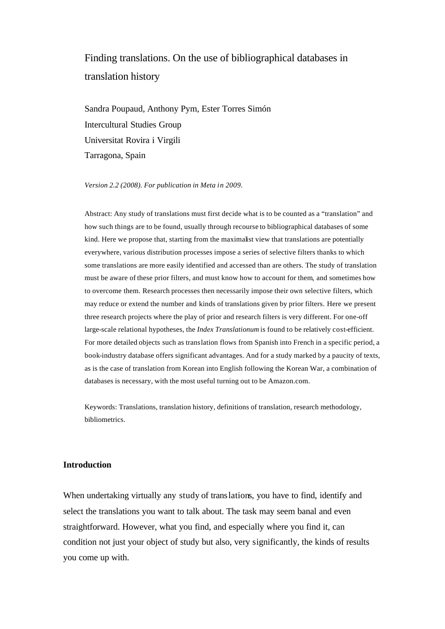# Finding translations. On the use of bibliographical databases in translation history

Sandra Poupaud, Anthony Pym, Ester Torres Simón Intercultural Studies Group Universitat Rovira i Virgili Tarragona, Spain

*Version 2.2 (2008). For publication in Meta in 2009.*

Abstract: Any study of translations must first decide what is to be counted as a "translation" and how such things are to be found, usually through recourse to bibliographical databases of some kind. Here we propose that, starting from the maximalist view that translations are potentially everywhere, various distribution processes impose a series of selective filters thanks to which some translations are more easily identified and accessed than are others. The study of translation must be aware of these prior filters, and must know how to account for them, and sometimes how to overcome them. Research processes then necessarily impose their own selective filters, which may reduce or extend the number and kinds of translations given by prior filters. Here we present three research projects where the play of prior and research filters is very different. For one-off large-scale relational hypotheses, the *Index Translationum* is found to be relatively cost-efficient. For more detailed objects such as translation flows from Spanish into French in a specific period, a book-industry database offers significant advantages. And for a study marked by a paucity of texts, as is the case of translation from Korean into English following the Korean War, a combination of databases is necessary, with the most useful turning out to be Amazon.com.

Keywords: Translations, translation history, definitions of translation, research methodology, bibliometrics.

## **Introduction**

When undertaking virtually any study of translations, you have to find, identify and select the translations you want to talk about. The task may seem banal and even straightforward. However, what you find, and especially where you find it, can condition not just your object of study but also, very significantly, the kinds of results you come up with.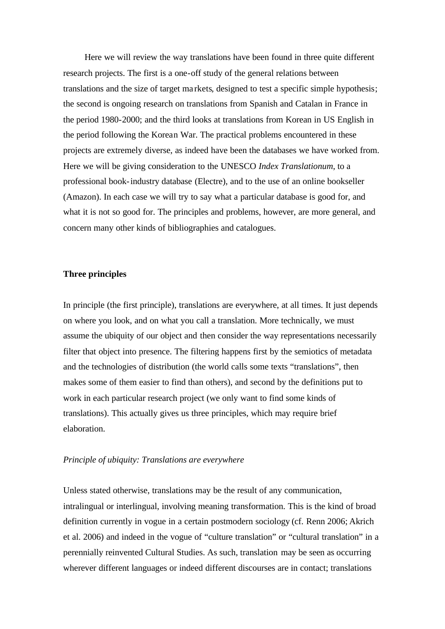Here we will review the way translations have been found in three quite different research projects. The first is a one-off study of the general relations between translations and the size of target ma rkets, designed to test a specific simple hypothesis; the second is ongoing research on translations from Spanish and Catalan in France in the period 1980-2000; and the third looks at translations from Korean in US English in the period following the Korean War. The practical problems encountered in these projects are extremely diverse, as indeed have been the databases we have worked from. Here we will be giving consideration to the UNESCO *Index Translationum*, to a professional book-industry database (Electre), and to the use of an online bookseller (Amazon). In each case we will try to say what a particular database is good for, and what it is not so good for. The principles and problems, however, are more general, and concern many other kinds of bibliographies and catalogues.

## **Three principles**

In principle (the first principle), translations are everywhere, at all times. It just depends on where you look, and on what you call a translation. More technically, we must assume the ubiquity of our object and then consider the way representations necessarily filter that object into presence. The filtering happens first by the semiotics of metadata and the technologies of distribution (the world calls some texts "translations", then makes some of them easier to find than others), and second by the definitions put to work in each particular research project (we only want to find some kinds of translations). This actually gives us three principles, which may require brief elaboration.

#### *Principle of ubiquity: Translations are everywhere*

Unless stated otherwise, translations may be the result of any communication, intralingual or interlingual, involving meaning transformation. This is the kind of broad definition currently in vogue in a certain postmodern sociology (cf. Renn 2006; Akrich et al. 2006) and indeed in the vogue of "culture translation" or "cultural translation" in a perennially reinvented Cultural Studies. As such, translation may be seen as occurring wherever different languages or indeed different discourses are in contact; translations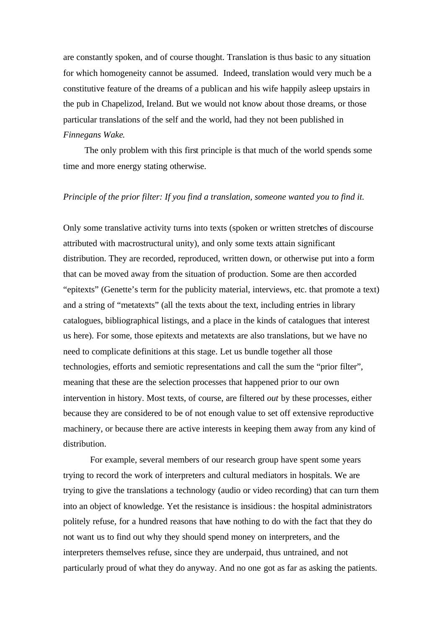are constantly spoken, and of course thought. Translation is thus basic to any situation for which homogeneity cannot be assumed. Indeed, translation would very much be a constitutive feature of the dreams of a publican and his wife happily asleep upstairs in the pub in Chapelizod, Ireland. But we would not know about those dreams, or those particular translations of the self and the world, had they not been published in *Finnegans Wake*.

The only problem with this first principle is that much of the world spends some time and more energy stating otherwise.

## *Principle of the prior filter: If you find a translation, someone wanted you to find it.*

Only some translative activity turns into texts (spoken or written stretches of discourse attributed with macrostructural unity), and only some texts attain significant distribution. They are recorded, reproduced, written down, or otherwise put into a form that can be moved away from the situation of production. Some are then accorded "epitexts" (Genette's term for the publicity material, interviews, etc. that promote a text) and a string of "metatexts" (all the texts about the text, including entries in library catalogues, bibliographical listings, and a place in the kinds of catalogues that interest us here). For some, those epitexts and metatexts are also translations, but we have no need to complicate definitions at this stage. Let us bundle together all those technologies, efforts and semiotic representations and call the sum the "prior filter", meaning that these are the selection processes that happened prior to our own intervention in history. Most texts, of course, are filtered *out* by these processes, either because they are considered to be of not enough value to set off extensive reproductive machinery, or because there are active interests in keeping them away from any kind of distribution.

For example, several members of our research group have spent some years trying to record the work of interpreters and cultural mediators in hospitals. We are trying to give the translations a technology (audio or video recording) that can turn them into an object of knowledge. Yet the resistance is insidious: the hospital administrators politely refuse, for a hundred reasons that have nothing to do with the fact that they do not want us to find out why they should spend money on interpreters, and the interpreters themselves refuse, since they are underpaid, thus untrained, and not particularly proud of what they do anyway. And no one got as far as asking the patients.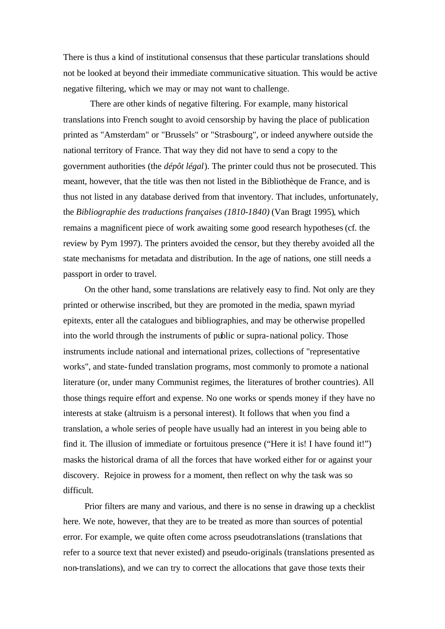There is thus a kind of institutional consensus that these particular translations should not be looked at beyond their immediate communicative situation. This would be active negative filtering, which we may or may not want to challenge.

There are other kinds of negative filtering. For example, many historical translations into French sought to avoid censorship by having the place of publication printed as "Amsterdam" or "Brussels" or "Strasbourg", or indeed anywhere outside the national territory of France. That way they did not have to send a copy to the government authorities (the *dépôt légal*). The printer could thus not be prosecuted. This meant, however, that the title was then not listed in the Bibliothèque de France, and is thus not listed in any database derived from that inventory. That includes, unfortunately, the *Bibliographie des traductions françaises (1810-1840)* (Van Bragt 1995), which remains a magnificent piece of work awaiting some good research hypotheses (cf. the review by Pym 1997). The printers avoided the censor, but they thereby avoided all the state mechanisms for metadata and distribution. In the age of nations, one still needs a passport in order to travel.

On the other hand, some translations are relatively easy to find. Not only are they printed or otherwise inscribed, but they are promoted in the media, spawn myriad epitexts, enter all the catalogues and bibliographies, and may be otherwise propelled into the world through the instruments of public or supra-national policy. Those instruments include national and international prizes, collections of "representative works", and state-funded translation programs, most commonly to promote a national literature (or, under many Communist regimes, the literatures of brother countries). All those things require effort and expense. No one works or spends money if they have no interests at stake (altruism is a personal interest). It follows that when you find a translation, a whole series of people have usually had an interest in you being able to find it. The illusion of immediate or fortuitous presence ("Here it is! I have found it!") masks the historical drama of all the forces that have worked either for or against your discovery. Rejoice in prowess for a moment, then reflect on why the task was so difficult.

Prior filters are many and various, and there is no sense in drawing up a checklist here. We note, however, that they are to be treated as more than sources of potential error. For example, we quite often come across pseudotranslations (translations that refer to a source text that never existed) and pseudo-originals (translations presented as non-translations), and we can try to correct the allocations that gave those texts their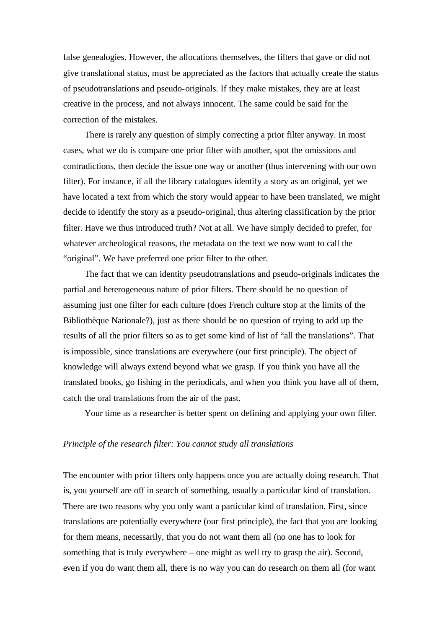false genealogies. However, the allocations themselves, the filters that gave or did not give translational status, must be appreciated as the factors that actually create the status of pseudotranslations and pseudo-originals. If they make mistakes, they are at least creative in the process, and not always innocent. The same could be said for the correction of the mistakes.

There is rarely any question of simply correcting a prior filter anyway. In most cases, what we do is compare one prior filter with another, spot the omissions and contradictions, then decide the issue one way or another (thus intervening with our own filter). For instance, if all the library catalogues identify a story as an original, yet we have located a text from which the story would appear to have been translated, we might decide to identify the story as a pseudo-original, thus altering classification by the prior filter. Have we thus introduced truth? Not at all. We have simply decided to prefer, for whatever archeological reasons, the metadata on the text we now want to call the "original". We have preferred one prior filter to the other.

The fact that we can identity pseudotranslations and pseudo-originals indicates the partial and heterogeneous nature of prior filters. There should be no question of assuming just one filter for each culture (does French culture stop at the limits of the Bibliothèque Nationale?), just as there should be no question of trying to add up the results of all the prior filters so as to get some kind of list of "all the translations". That is impossible, since translations are everywhere (our first principle). The object of knowledge will always extend beyond what we grasp. If you think you have all the translated books, go fishing in the periodicals, and when you think you have all of them, catch the oral translations from the air of the past.

Your time as a researcher is better spent on defining and applying your own filter.

#### *Principle of the research filter: You cannot study all translations*

The encounter with prior filters only happens once you are actually doing research. That is, you yourself are off in search of something, usually a particular kind of translation. There are two reasons why you only want a particular kind of translation. First, since translations are potentially everywhere (our first principle), the fact that you are looking for them means, necessarily, that you do not want them all (no one has to look for something that is truly everywhere – one might as well try to grasp the air). Second, even if you do want them all, there is no way you can do research on them all (for want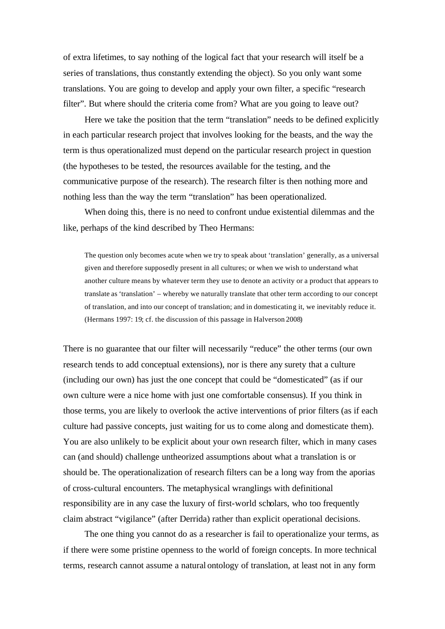of extra lifetimes, to say nothing of the logical fact that your research will itself be a series of translations, thus constantly extending the object). So you only want some translations. You are going to develop and apply your own filter, a specific "research filter". But where should the criteria come from? What are you going to leave out?

Here we take the position that the term "translation" needs to be defined explicitly in each particular research project that involves looking for the beasts, and the way the term is thus operationalized must depend on the particular research project in question (the hypotheses to be tested, the resources available for the testing, and the communicative purpose of the research). The research filter is then nothing more and nothing less than the way the term "translation" has been operationalized.

When doing this, there is no need to confront undue existential dilemmas and the like, perhaps of the kind described by Theo Hermans:

The question only becomes acute when we try to speak about 'translation' generally, as a universal given and therefore supposedly present in all cultures; or when we wish to understand what another culture means by whatever term they use to denote an activity or a product that appears to translate as 'translation' – whereby we naturally translate that other term according to our concept of translation, and into our concept of translation; and in domesticating it, we inevitably reduce it. (Hermans 1997: 19; cf. the discussion of this passage in Halverson 2008)

There is no guarantee that our filter will necessarily "reduce" the other terms (our own research tends to add conceptual extensions), nor is there any surety that a culture (including our own) has just the one concept that could be "domesticated" (as if our own culture were a nice home with just one comfortable consensus). If you think in those terms, you are likely to overlook the active interventions of prior filters (as if each culture had passive concepts, just waiting for us to come along and domesticate them). You are also unlikely to be explicit about your own research filter, which in many cases can (and should) challenge untheorized assumptions about what a translation is or should be. The operationalization of research filters can be a long way from the aporias of cross-cultural encounters. The metaphysical wranglings with definitional responsibility are in any case the luxury of first-world scholars, who too frequently claim abstract "vigilance" (after Derrida) rather than explicit operational decisions.

The one thing you cannot do as a researcher is fail to operationalize your terms, as if there were some pristine openness to the world of foreign concepts. In more technical terms, research cannot assume a natural ontology of translation, at least not in any form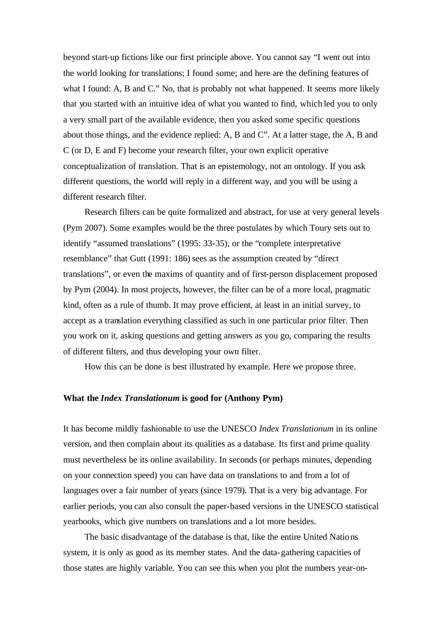beyond start-up fictions like our first principle above. You cannot say "I went out into the world looking for translations; I found some; and here are the defining features of what I found: A, B and C." No, that is probably not what happened. It seems more likely that you started with an intuitive idea of what you wanted to find, which led you to only a very small part of the available evidence, then you asked some specific questions about those things, and the evidence replied: A, B and C". At a latter stage, the A, B and C (or D, E and F) become your research filter, your own explicit operative conceptualization of translation. That is an epistemology, not an ontology. If you ask different questions, the world will reply in a different way, and you will be using a different research filter.

Research filters can be quite formalized and abstract, for use at very general levels (Pym 2007). Some examples would be the three postulates by which Toury sets out to identify "assumed translations" (1995: 33-35), or the "complete interpretative resemblance" that Gutt (1991: 186) sees as the assumption created by "direct translations", or even the maxims of quantity and of first-person displacement proposed by Pym (2004). In most projects, however, the filter can be of a more local, pragmatic kind, often as a rule of thumb. It may prove efficient, at least in an initial survey, to accept as a translation everything classified as such in one particular prior filter. Then you work on it, asking questions and getting answers as you go, comparing the results of different filters, and thus developing your own filter.

How this can be done is best illustrated by example. Here we propose three.

## **What the** *Index Translationum* **is good for (Anthony Pym)**

It has become mildly fashionable to use the UNESCO *Index Translationum* in its online version, and then complain about its qualities as a database. Its first and prime quality must nevertheless be its online availability. In seconds (or perhaps minutes, depending on your connection speed) you can have data on translations to and from a lot of languages over a fair number of years (since 1979). That is a very big advantage. For earlier periods, you can also consult the paper-based versions in the UNESCO statistical yearbooks, which give numbers on translations and a lot more besides.

The basic disadvantage of the database is that, like the entire United Nations system, it is only as good as its member states. And the data-gathering capacities of those states are highly variable. You can see this when you plot the numbers year-on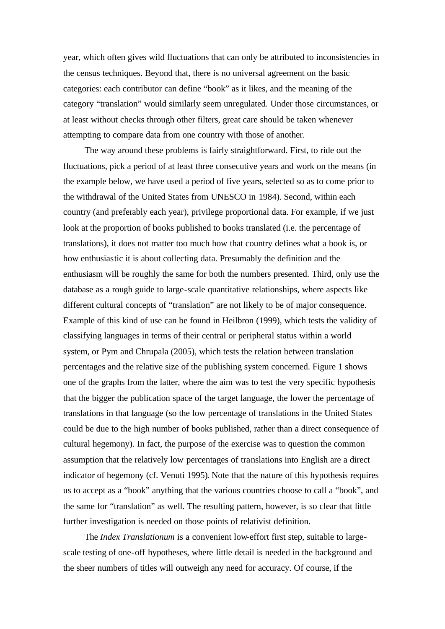year, which often gives wild fluctuations that can only be attributed to inconsistencies in the census techniques. Beyond that, there is no universal agreement on the basic categories: each contributor can define "book" as it likes, and the meaning of the category "translation" would similarly seem unregulated. Under those circumstances, or at least without checks through other filters, great care should be taken whenever attempting to compare data from one country with those of another.

The way around these problems is fairly straightforward. First, to ride out the fluctuations, pick a period of at least three consecutive years and work on the means (in the example below, we have used a period of five years, selected so as to come prior to the withdrawal of the United States from UNESCO in 1984). Second, within each country (and preferably each year), privilege proportional data. For example, if we just look at the proportion of books published to books translated (i.e. the percentage of translations), it does not matter too much how that country defines what a book is, or how enthusiastic it is about collecting data. Presumably the definition and the enthusiasm will be roughly the same for both the numbers presented. Third, only use the database as a rough guide to large-scale quantitative relationships, where aspects like different cultural concepts of "translation" are not likely to be of major consequence. Example of this kind of use can be found in Heilbron (1999), which tests the validity of classifying languages in terms of their central or peripheral status within a world system, or Pym and Chrupala (2005), which tests the relation between translation percentages and the relative size of the publishing system concerned. Figure 1 shows one of the graphs from the latter, where the aim was to test the very specific hypothesis that the bigger the publication space of the target language, the lower the percentage of translations in that language (so the low percentage of translations in the United States could be due to the high number of books published, rather than a direct consequence of cultural hegemony). In fact, the purpose of the exercise was to question the common assumption that the relatively low percentages of translations into English are a direct indicator of hegemony (cf. Venuti 1995). Note that the nature of this hypothesis requires us to accept as a "book" anything that the various countries choose to call a "book", and the same for "translation" as well. The resulting pattern, however, is so clear that little further investigation is needed on those points of relativist definition.

The *Index Translationum* is a convenient low-effort first step, suitable to largescale testing of one-off hypotheses, where little detail is needed in the background and the sheer numbers of titles will outweigh any need for accuracy. Of course, if the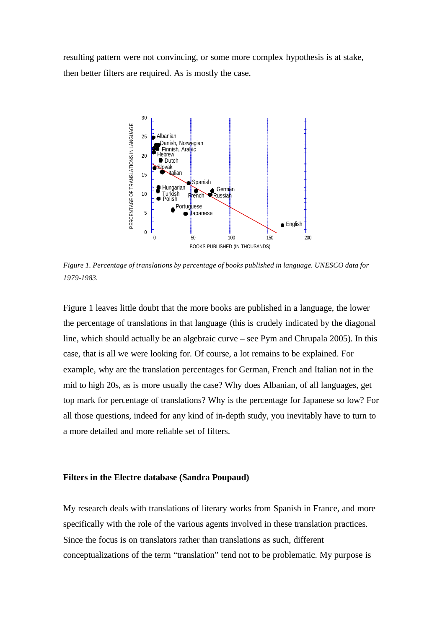resulting pattern were not convincing, or some more complex hypothesis is at stake, then better filters are required. As is mostly the case.



*Figure 1. Percentage of translations by percentage of books published in language. UNESCO data for 1979-1983.* 

Figure 1 leaves little doubt that the more books are published in a language, the lower the percentage of translations in that language (this is crudely indicated by the diagonal line, which should actually be an algebraic curve – see Pym and Chrupala 2005). In this case, that is all we were looking for. Of course, a lot remains to be explained. For example, why are the translation percentages for German, French and Italian not in the mid to high 20s, as is more usually the case? Why does Albanian, of all languages, get top mark for percentage of translations? Why is the percentage for Japanese so low? For all those questions, indeed for any kind of in-depth study, you inevitably have to turn to a more detailed and more reliable set of filters.

# **Filters in the Electre database (Sandra Poupaud)**

My research deals with translations of literary works from Spanish in France, and more specifically with the role of the various agents involved in these translation practices. Since the focus is on translators rather than translations as such, different conceptualizations of the term "translation" tend not to be problematic. My purpose is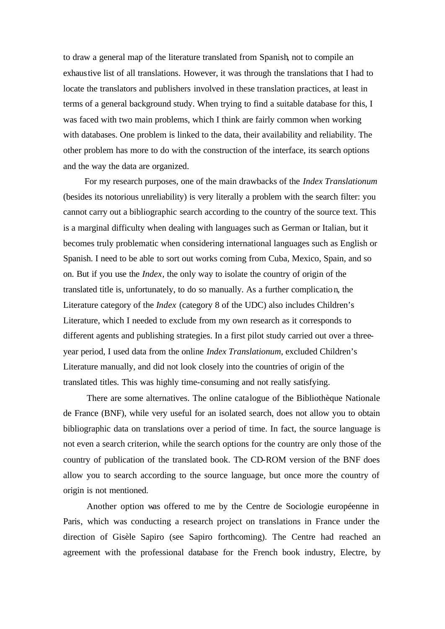to draw a general map of the literature translated from Spanish, not to compile an exhaustive list of all translations. However, it was through the translations that I had to locate the translators and publishers involved in these translation practices, at least in terms of a general background study. When trying to find a suitable database for this, I was faced with two main problems, which I think are fairly common when working with databases. One problem is linked to the data, their availability and reliability. The other problem has more to do with the construction of the interface, its search options and the way the data are organized.

For my research purposes, one of the main drawbacks of the *Index Translationum* (besides its notorious unreliability) is very literally a problem with the search filter: you cannot carry out a bibliographic search according to the country of the source text. This is a marginal difficulty when dealing with languages such as German or Italian, but it becomes truly problematic when considering international languages such as English or Spanish. I need to be able to sort out works coming from Cuba, Mexico, Spain, and so on. But if you use the *Index*, the only way to isolate the country of origin of the translated title is, unfortunately, to do so manually. As a further complication, the Literature category of the *Index* (category 8 of the UDC) also includes Children's Literature, which I needed to exclude from my own research as it corresponds to different agents and publishing strategies. In a first pilot study carried out over a threeyear period, I used data from the online *Index Translationum*, excluded Children's Literature manually, and did not look closely into the countries of origin of the translated titles. This was highly time-consuming and not really satisfying.

There are some alternatives. The online catalogue of the Bibliothèque Nationale de France (BNF), while very useful for an isolated search, does not allow you to obtain bibliographic data on translations over a period of time. In fact, the source language is not even a search criterion, while the search options for the country are only those of the country of publication of the translated book. The CD-ROM version of the BNF does allow you to search according to the source language, but once more the country of origin is not mentioned.

Another option was offered to me by the Centre de Sociologie européenne in Paris, which was conducting a research project on translations in France under the direction of Gisèle Sapiro (see Sapiro forthcoming). The Centre had reached an agreement with the professional database for the French book industry, Electre, by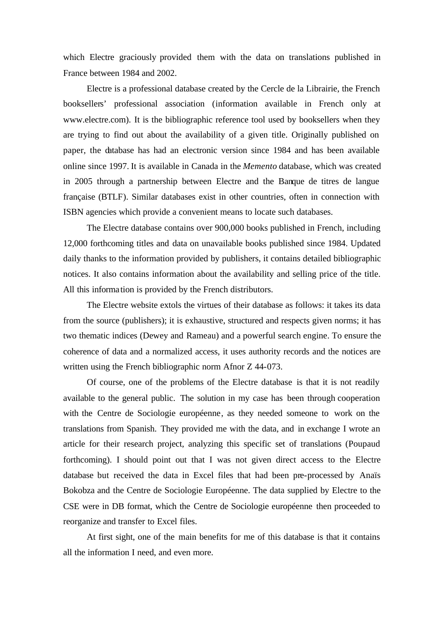which Electre graciously provided them with the data on translations published in France between 1984 and 2002.

Electre is a professional database created by the Cercle de la Librairie, the French booksellers' professional association (information available in French only at www.electre.com). It is the bibliographic reference tool used by booksellers when they are trying to find out about the availability of a given title. Originally published on paper, the database has had an electronic version since 1984 and has been available online since 1997. It is available in Canada in the *Memento* database, which was created in 2005 through a partnership between Electre and the Banque de titres de langue française (BTLF). Similar databases exist in other countries, often in connection with ISBN agencies which provide a convenient means to locate such databases.

The Electre database contains over 900,000 books published in French, including 12,000 forthcoming titles and data on unavailable books published since 1984. Updated daily thanks to the information provided by publishers, it contains detailed bibliographic notices. It also contains information about the availability and selling price of the title. All this information is provided by the French distributors.

The Electre website extols the virtues of their database as follows: it takes its data from the source (publishers); it is exhaustive, structured and respects given norms; it has two thematic indices (Dewey and Rameau) and a powerful search engine. To ensure the coherence of data and a normalized access, it uses authority records and the notices are written using the French bibliographic norm Afnor Z 44-073.

Of course, one of the problems of the Electre database is that it is not readily available to the general public. The solution in my case has been through cooperation with the Centre de Sociologie européenne, as they needed someone to work on the translations from Spanish. They provided me with the data, and in exchange I wrote an article for their research project, analyzing this specific set of translations (Poupaud forthcoming). I should point out that I was not given direct access to the Electre database but received the data in Excel files that had been pre-processed by Anaïs Bokobza and the Centre de Sociologie Européenne. The data supplied by Electre to the CSE were in DB format, which the Centre de Sociologie européenne then proceeded to reorganize and transfer to Excel files.

At first sight, one of the main benefits for me of this database is that it contains all the information I need, and even more.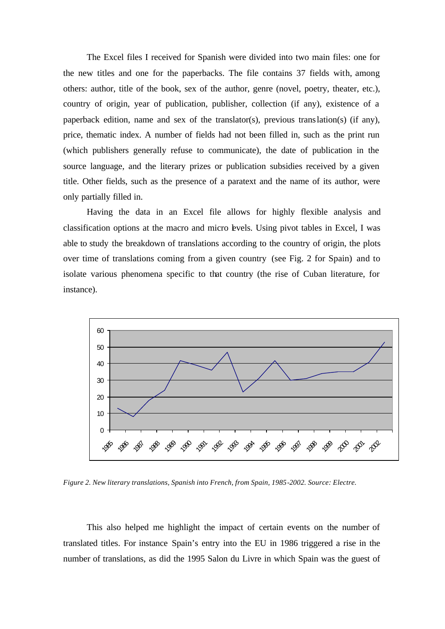The Excel files I received for Spanish were divided into two main files: one for the new titles and one for the paperbacks. The file contains 37 fields with, among others: author, title of the book, sex of the author, genre (novel, poetry, theater, etc.), country of origin, year of publication, publisher, collection (if any), existence of a paperback edition, name and sex of the translator(s), previous translation(s) (if any), price, thematic index. A number of fields had not been filled in, such as the print run (which publishers generally refuse to communicate), the date of publication in the source language, and the literary prizes or publication subsidies received by a given title. Other fields, such as the presence of a paratext and the name of its author, were only partially filled in.

Having the data in an Excel file allows for highly flexible analysis and classification options at the macro and micro levels. Using pivot tables in Excel, I was able to study the breakdown of translations according to the country of origin, the plots over time of translations coming from a given country (see Fig. 2 for Spain) and to isolate various phenomena specific to that country (the rise of Cuban literature, for instance).



*Figure 2. New literary translations, Spanish into French, from Spain, 1985-2002. Source: Electre.*

This also helped me highlight the impact of certain events on the number of translated titles. For instance Spain's entry into the EU in 1986 triggered a rise in the number of translations, as did the 1995 Salon du Livre in which Spain was the guest of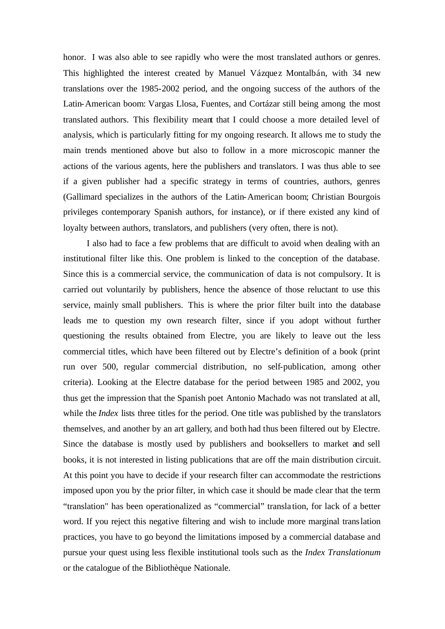honor. I was also able to see rapidly who were the most translated authors or genres. This highlighted the interest created by Manuel Vázquez Montalbán, with 34 new translations over the 1985-2002 period, and the ongoing success of the authors of the Latin-American boom: Vargas Llosa, Fuentes, and Cortázar still being among the most translated authors. This flexibility meant that I could choose a more detailed level of analysis, which is particularly fitting for my ongoing research. It allows me to study the main trends mentioned above but also to follow in a more microscopic manner the actions of the various agents, here the publishers and translators. I was thus able to see if a given publisher had a specific strategy in terms of countries, authors, genres (Gallimard specializes in the authors of the Latin-American boom; Christian Bourgois privileges contemporary Spanish authors, for instance), or if there existed any kind of loyalty between authors, translators, and publishers (very often, there is not).

I also had to face a few problems that are difficult to avoid when dealing with an institutional filter like this. One problem is linked to the conception of the database. Since this is a commercial service, the communication of data is not compulsory. It is carried out voluntarily by publishers, hence the absence of those reluctant to use this service, mainly small publishers. This is where the prior filter built into the database leads me to question my own research filter, since if you adopt without further questioning the results obtained from Electre, you are likely to leave out the less commercial titles, which have been filtered out by Electre's definition of a book (print run over 500, regular commercial distribution, no self-publication, among other criteria). Looking at the Electre database for the period between 1985 and 2002, you thus get the impression that the Spanish poet Antonio Machado was not translated at all, while the *Index* lists three titles for the period. One title was published by the translators themselves, and another by an art gallery, and both had thus been filtered out by Electre. Since the database is mostly used by publishers and booksellers to market and sell books, it is not interested in listing publications that are off the main distribution circuit. At this point you have to decide if your research filter can accommodate the restrictions imposed upon you by the prior filter, in which case it should be made clear that the term "translation" has been operationalized as "commercial" transla tion, for lack of a better word. If you reject this negative filtering and wish to include more marginal translation practices, you have to go beyond the limitations imposed by a commercial database and pursue your quest using less flexible institutional tools such as the *Index Translationum* or the catalogue of the Bibliothèque Nationale.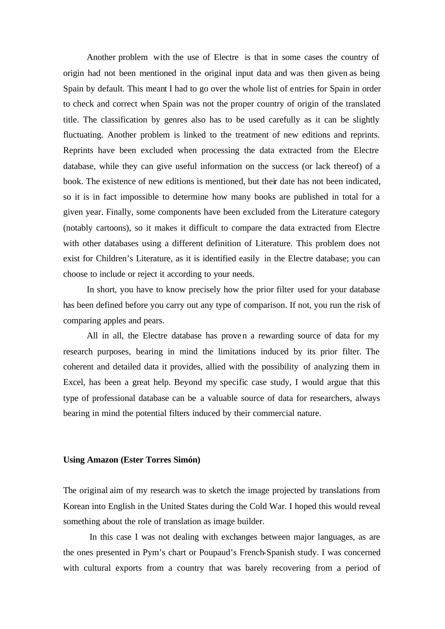Another problem with the use of Electre is that in some cases the country of origin had not been mentioned in the original input data and was then given as being Spain by default. This meant I had to go over the whole list of entries for Spain in order to check and correct when Spain was not the proper country of origin of the translated title. The classification by genres also has to be used carefully as it can be slightly fluctuating. Another problem is linked to the treatment of new editions and reprints. Reprints have been excluded when processing the data extracted from the Electre database, while they can give useful information on the success (or lack thereof) of a book. The existence of new editions is mentioned, but their date has not been indicated, so it is in fact impossible to determine how many books are published in total for a given year. Finally, some components have been excluded from the Literature category (notably cartoons), so it makes it difficult to compare the data extracted from Electre with other databases using a different definition of Literature. This problem does not exist for Children's Literature, as it is identified easily in the Electre database; you can choose to include or reject it according to your needs.

In short, you have to know precisely how the prior filter used for your database has been defined before you carry out any type of comparison. If not, you run the risk of comparing apples and pears.

All in all, the Electre database has proven a rewarding source of data for my research purposes, bearing in mind the limitations induced by its prior filter. The coherent and detailed data it provides, allied with the possibility of analyzing them in Excel, has been a great help. Beyond my specific case study, I would argue that this type of professional database can be a valuable source of data for researchers, always bearing in mind the potential filters induced by their commercial nature.

#### **Using Amazon (Ester Torres Simón)**

The original aim of my research was to sketch the image projected by translations from Korean into English in the United States during the Cold War. I hoped this would reveal something about the role of translation as image builder.

In this case I was not dealing with exchanges between major languages, as are the ones presented in Pym's chart or Poupaud's French-Spanish study. I was concerned with cultural exports from a country that was barely recovering from a period of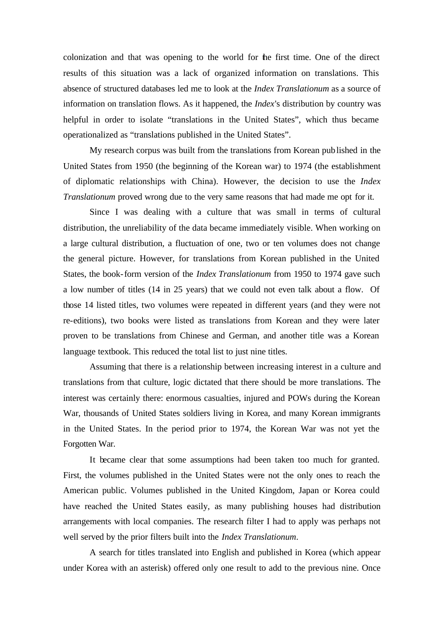colonization and that was opening to the world for the first time. One of the direct results of this situation was a lack of organized information on translations. This absence of structured databases led me to look at the *Index Translationum* as a source of information on translation flows. As it happened, the *Index*'s distribution by country was helpful in order to isolate "translations in the United States", which thus became operationalized as "translations published in the United States".

My research corpus was built from the translations from Korean published in the United States from 1950 (the beginning of the Korean war) to 1974 (the establishment of diplomatic relationships with China). However, the decision to use the *Index Translationum* proved wrong due to the very same reasons that had made me opt for it.

Since I was dealing with a culture that was small in terms of cultural distribution, the unreliability of the data became immediately visible. When working on a large cultural distribution, a fluctuation of one, two or ten volumes does not change the general picture. However, for translations from Korean published in the United States, the book-form version of the *Index Translationum* from 1950 to 1974 gave such a low number of titles (14 in 25 years) that we could not even talk about a flow. Of those 14 listed titles, two volumes were repeated in different years (and they were not re-editions), two books were listed as translations from Korean and they were later proven to be translations from Chinese and German, and another title was a Korean language textbook. This reduced the total list to just nine titles.

Assuming that there is a relationship between increasing interest in a culture and translations from that culture, logic dictated that there should be more translations. The interest was certainly there: enormous casualties, injured and POWs during the Korean War, thousands of United States soldiers living in Korea, and many Korean immigrants in the United States. In the period prior to 1974, the Korean War was not yet the Forgotten War.

It became clear that some assumptions had been taken too much for granted. First, the volumes published in the United States were not the only ones to reach the American public. Volumes published in the United Kingdom, Japan or Korea could have reached the United States easily, as many publishing houses had distribution arrangements with local companies. The research filter I had to apply was perhaps not well served by the prior filters built into the *Index Translationum*.

A search for titles translated into English and published in Korea (which appear under Korea with an asterisk) offered only one result to add to the previous nine. Once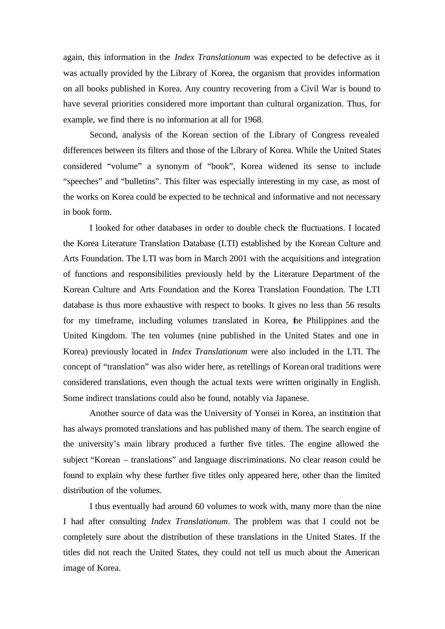again, this information in the *Index Translationum* was expected to be defective as it was actually provided by the Library of Korea, the organism that provides information on all books published in Korea. Any country recovering from a Civil War is bound to have several priorities considered more important than cultural organization. Thus, for example, we find there is no information at all for 1968.

Second, analysis of the Korean section of the Library of Congress revealed differences between its filters and those of the Library of Korea. While the United States considered "volume" a synonym of "book", Korea widened its sense to include "speeches" and "bulletins". This filter was especially interesting in my case, as most of the works on Korea could be expected to be technical and informative and not necessary in book form.

I looked for other databases in order to double check the fluctuations. I located the Korea Literature Translation Database (LTI) established by the Korean Culture and Arts Foundation. The LTI was born in March 2001 with the acquisitions and integration of functions and responsibilities previously held by the Literature Department of the Korean Culture and Arts Foundation and the Korea Translation Foundation. The LTI database is thus more exhaustive with respect to books. It gives no less than 56 results for my timeframe, including volumes translated in Korea, the Philippines and the United Kingdom. The ten volumes (nine published in the United States and one in Korea) previously located in *Index Translationum* were also included in the LTI. The concept of "translation" was also wider here, as retellings of Korean oral traditions were considered translations, even though the actual texts were written originally in English. Some indirect translations could also be found, notably via Japanese.

Another source of data was the University of Yonsei in Korea, an institution that has always promoted translations and has published many of them. The search engine of the university's main library produced a further five titles. The engine allowed the subject "Korean – translations" and language discriminations. No clear reason could be found to explain why these further five titles only appeared here, other than the limited distribution of the volumes.

I thus eventually had around 60 volumes to work with, many more than the nine I had after consulting *Index Translationum*. The problem was that I could not be completely sure about the distribution of these translations in the United States. If the titles did not reach the United States, they could not tell us much about the American image of Korea.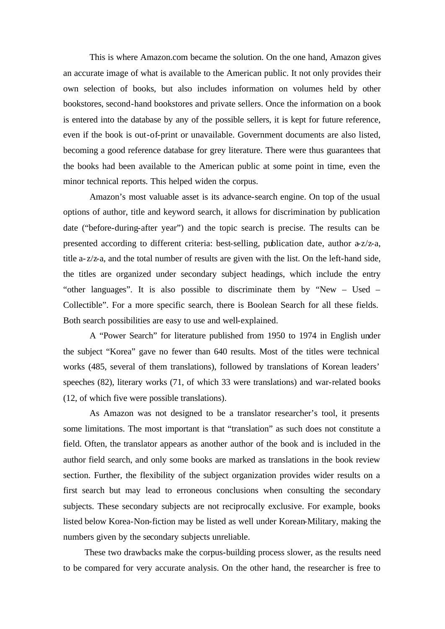This is where Amazon.com became the solution. On the one hand, Amazon gives an accurate image of what is available to the American public. It not only provides their own selection of books, but also includes information on volumes held by other bookstores, second-hand bookstores and private sellers. Once the information on a book is entered into the database by any of the possible sellers, it is kept for future reference, even if the book is out-of-print or unavailable. Government documents are also listed, becoming a good reference database for grey literature. There were thus guarantees that the books had been available to the American public at some point in time, even the minor technical reports. This helped widen the corpus.

Amazon's most valuable asset is its advance-search engine. On top of the usual options of author, title and keyword search, it allows for discrimination by publication date ("before-during-after year") and the topic search is precise. The results can be presented according to different criteria: best-selling, publication date, author  $a-z/z-a$ , title a-z/z-a, and the total number of results are given with the list. On the left-hand side, the titles are organized under secondary subject headings, which include the entry "other languages". It is also possible to discriminate them by "New – Used – Collectible". For a more specific search, there is Boolean Search for all these fields. Both search possibilities are easy to use and well-explained.

A "Power Search" for literature published from 1950 to 1974 in English under the subject "Korea" gave no fewer than 640 results. Most of the titles were technical works (485, several of them translations), followed by translations of Korean leaders' speeches (82), literary works (71, of which 33 were translations) and war-related books (12, of which five were possible translations).

As Amazon was not designed to be a translator researcher's tool, it presents some limitations. The most important is that "translation" as such does not constitute a field. Often, the translator appears as another author of the book and is included in the author field search, and only some books are marked as translations in the book review section. Further, the flexibility of the subject organization provides wider results on a first search but may lead to erroneous conclusions when consulting the secondary subjects. These secondary subjects are not reciprocally exclusive. For example, books listed below Korea-Non-fiction may be listed as well under Korean-Military, making the numbers given by the secondary subjects unreliable.

These two drawbacks make the corpus-building process slower, as the results need to be compared for very accurate analysis. On the other hand, the researcher is free to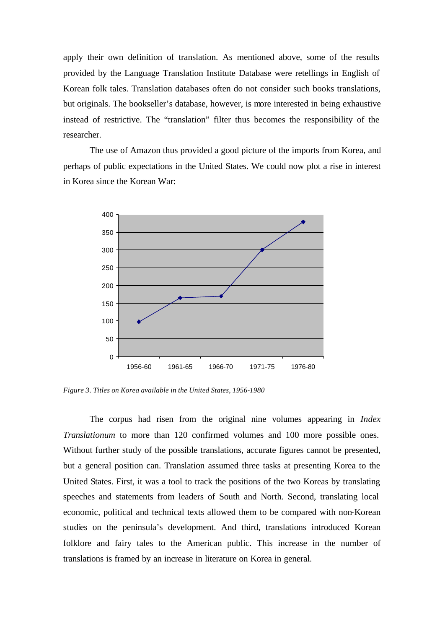apply their own definition of translation. As mentioned above, some of the results provided by the Language Translation Institute Database were retellings in English of Korean folk tales. Translation databases often do not consider such books translations, but originals. The bookseller's database, however, is more interested in being exhaustive instead of restrictive. The "translation" filter thus becomes the responsibility of the researcher.

The use of Amazon thus provided a good picture of the imports from Korea, and perhaps of public expectations in the United States. We could now plot a rise in interest in Korea since the Korean War:



*Figure 3. Titles on Korea available in the United States, 1956-1980* 

The corpus had risen from the original nine volumes appearing in *Index Translationum* to more than 120 confirmed volumes and 100 more possible ones. Without further study of the possible translations, accurate figures cannot be presented, but a general position can. Translation assumed three tasks at presenting Korea to the United States. First, it was a tool to track the positions of the two Koreas by translating speeches and statements from leaders of South and North. Second, translating local economic, political and technical texts allowed them to be compared with non-Korean studies on the peninsula's development. And third, translations introduced Korean folklore and fairy tales to the American public. This increase in the number of translations is framed by an increase in literature on Korea in general.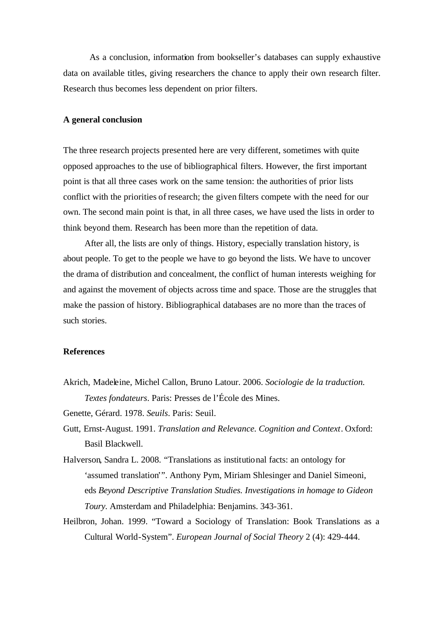As a conclusion, information from bookseller's databases can supply exhaustive data on available titles, giving researchers the chance to apply their own research filter. Research thus becomes less dependent on prior filters.

## **A general conclusion**

The three research projects presented here are very different, sometimes with quite opposed approaches to the use of bibliographical filters. However, the first important point is that all three cases work on the same tension: the authorities of prior lists conflict with the priorities of research; the given filters compete with the need for our own. The second main point is that, in all three cases, we have used the lists in order to think beyond them. Research has been more than the repetition of data.

After all, the lists are only of things. History, especially translation history, is about people. To get to the people we have to go beyond the lists. We have to uncover the drama of distribution and concealment, the conflict of human interests weighing for and against the movement of objects across time and space. Those are the struggles that make the passion of history. Bibliographical databases are no more than the traces of such stories.

#### **References**

Akrich, Madeleine, Michel Callon, Bruno Latour. 2006. *Sociologie de la traduction. Textes fondateurs*. Paris: Presses de l'École des Mines.

Genette, Gérard. 1978. *Seuils*. Paris: Seuil.

- Gutt, Ernst-August. 1991. *Translation and Relevance. Cognition and Context*. Oxford: Basil Blackwell.
- Halverson, Sandra L. 2008. "Translations as institutional facts: an ontology for 'assumed translation'". Anthony Pym, Miriam Shlesinger and Daniel Simeoni, eds *Beyond Descriptive Translation Studies. Investigations in homage to Gideon Toury*. Amsterdam and Philadelphia: Benjamins. 343-361.
- Heilbron, Johan. 1999. "Toward a Sociology of Translation: Book Translations as a Cultural World-System". *European Journal of Social Theory* 2 (4): 429-444.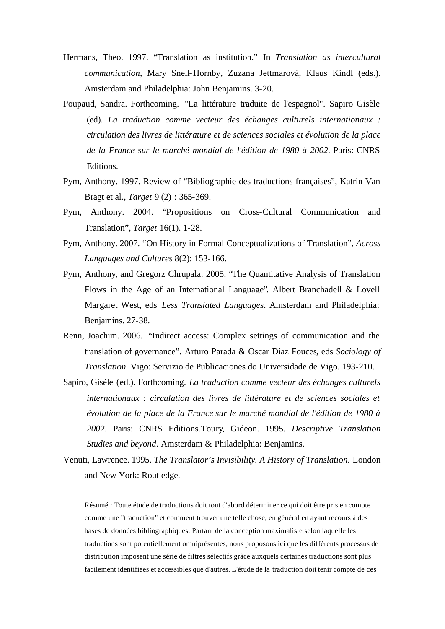- Hermans, Theo. 1997. "Translation as institution." In *Translation as intercultural communication*, Mary Snell-Hornby, Zuzana Jettmarová, Klaus Kindl (eds.). Amsterdam and Philadelphia: John Benjamins. 3-20.
- Poupaud, Sandra. Forthcoming. "La littérature traduite de l'espagnol". Sapiro Gisèle (ed). *La traduction comme vecteur des échanges culturels internationaux : circulation des livres de littérature et de sciences sociales et évolution de la place de la France sur le marché mondial de l'édition de 1980 à 2002*. Paris: CNRS Editions.
- Pym, Anthony. 1997. Review of "Bibliographie des traductions françaises", Katrin Van Bragt et al., *Target* 9 (2) : 365-369.
- Pym, Anthony. 2004. "Propositions on Cross-Cultural Communication and Translation", *Target* 16(1). 1-28.
- Pym, Anthony. 2007. "On History in Formal Conceptualizations of Translation", *Across Languages and Cultures* 8(2): 153-166.
- Pym, Anthony, and Gregorz Chrupala. 2005. "The Quantitative Analysis of Translation Flows in the Age of an International Language". Albert Branchadell & Lovell Margaret West, eds *Less Translated Languages*. Amsterdam and Philadelphia: Benjamins. 27-38.
- Renn, Joachim. 2006. "Indirect access: Complex settings of communication and the translation of governance". Arturo Parada & Oscar Diaz Fouces, eds *Sociology of Translation*. Vigo: Servizio de Publicaciones do Universidade de Vigo. 193-210.
- Sapiro, Gisèle (ed.). Forthcoming. *La traduction comme vecteur des échanges culturels internationaux : circulation des livres de littérature et de sciences sociales et évolution de la place de la France sur le marché mondial de l'édition de 1980 à 2002*. Paris: CNRS Editions.Toury, Gideon. 1995. *Descriptive Translation Studies and beyond*. Amsterdam & Philadelphia: Benjamins.
- Venuti, Lawrence. 1995. *The Translator's Invisibility. A History of Translation*. London and New York: Routledge.

Résumé : Toute étude de traductions doit tout d'abord déterminer ce qui doit être pris en compte comme une "traduction" et comment trouver une telle chose, en général en ayant recours à des bases de données bibliographiques. Partant de la conception maximaliste selon laquelle les traductions sont potentiellement omniprésentes, nous proposons ici que les différents processus de distribution imposent une série de filtres sélectifs grâce auxquels certaines traductions sont plus facilement identifiées et accessibles que d'autres. L'étude de la traduction doit tenir compte de ces